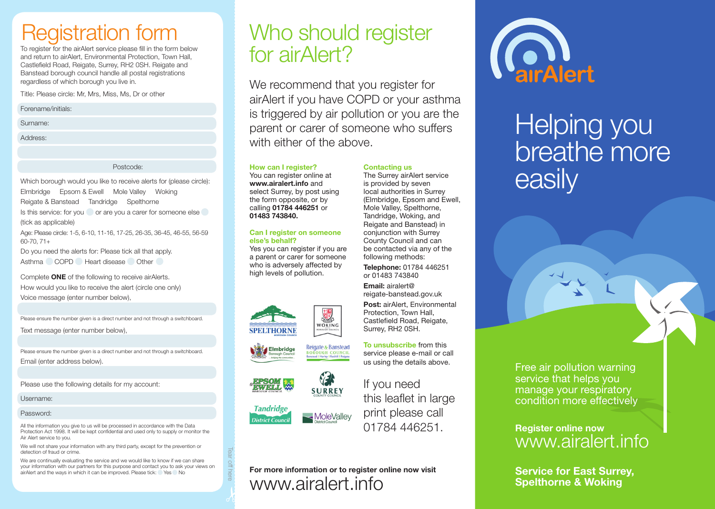# Registration form

To register for the airAlert service please fill in the form below and return to airAlert, Environmental Protection, Town Hall, Castlefield Road, Reigate, Surrey, RH2 0SH. Reigate and Banstead borough council handle all postal registrations regardless of which borough you live in.

Title: Please circle: Mr, Mrs, Miss, Ms, Dr or other

Forename/initials:

Surname:

Address:

Postcode:

Which borough would you like to receive alerts for (please circle): Elmbridge Epsom & Ewell Mole Valley Woking Reigate & Banstead Tandridge Spelthorne Is this service: for you or are you a carer for someone else (tick as applicable)

Age: Please circle: 1-5, 6-10, 11-16, 17-25, 26-35, 36-45, 46-55, 56-59 60-70, 71+

Do you need the alerts for: Please tick all that apply. Asthma COPD Heart disease Other

Complete ONE of the following to receive airAlerts. How would you like to receive the alert (circle one only) Voice message (enter number below),

Please ensure the number given is a direct number and not through a switchboard.

Text message (enter number below),

Please ensure the number given is a direct number and not through a switchboard. Email (enter address below).

Please use the following details for my account:

Username:

#### Password:

All the information you give to us will be processed in accordance with the Data Protection Act 1998. It will be kept confidential and used only to supply or monitor the Air Alert service to you.

We will not share your information with any third party, except for the prevention or detection of fraud or crime.

We are continually evaluating the service and we would like to know if we can share your information with our partners for this purpose and contact you to ask your views on airAlert and the ways in which it can be improved. Please tick: Yes No

# Who should register for airAlert?

We recommend that you register for airAlert if you have COPD or your asthma is triggered by air pollution or you are the parent or carer of someone who suffers with either of the above.

Contacting us

The Surrey airAlert service is provided by seven local authorities in Surrey (Elmbridge, Epsom and Ewell, Mole Valley, Spelthorne, Tandridge, Woking, and Reigate and Banstead) in conjunction with Surrey County Council and can be contacted via any of the following methods: Telephone: 01784 446251 or 01483 743840

How can I register?

You can register online at www.airalert.info and select Surrey, by post using the form opposite, or by calling 01784 446251 or 01483 743840.

#### Can I register on someone else's behalf?

Yes you can register if you are a parent or carer for someone who is adversely affected by high levels of pollution.









If you need this leaflet in large print please call 01784 446251.

Castlefield Road, Reigate, Surrey, RH2 0SH.

To unsubscribe from this service please e-mail or call us using the details above.

### For more information or to register online now visit www.airalert.info



# Helping you breathe more easily

Free air pollution warning service that helps you manage your respiratory condition more effectively

### Register online now www.airalert.info

Service for East Surrey, Spelthorne & Woking



Tear off here